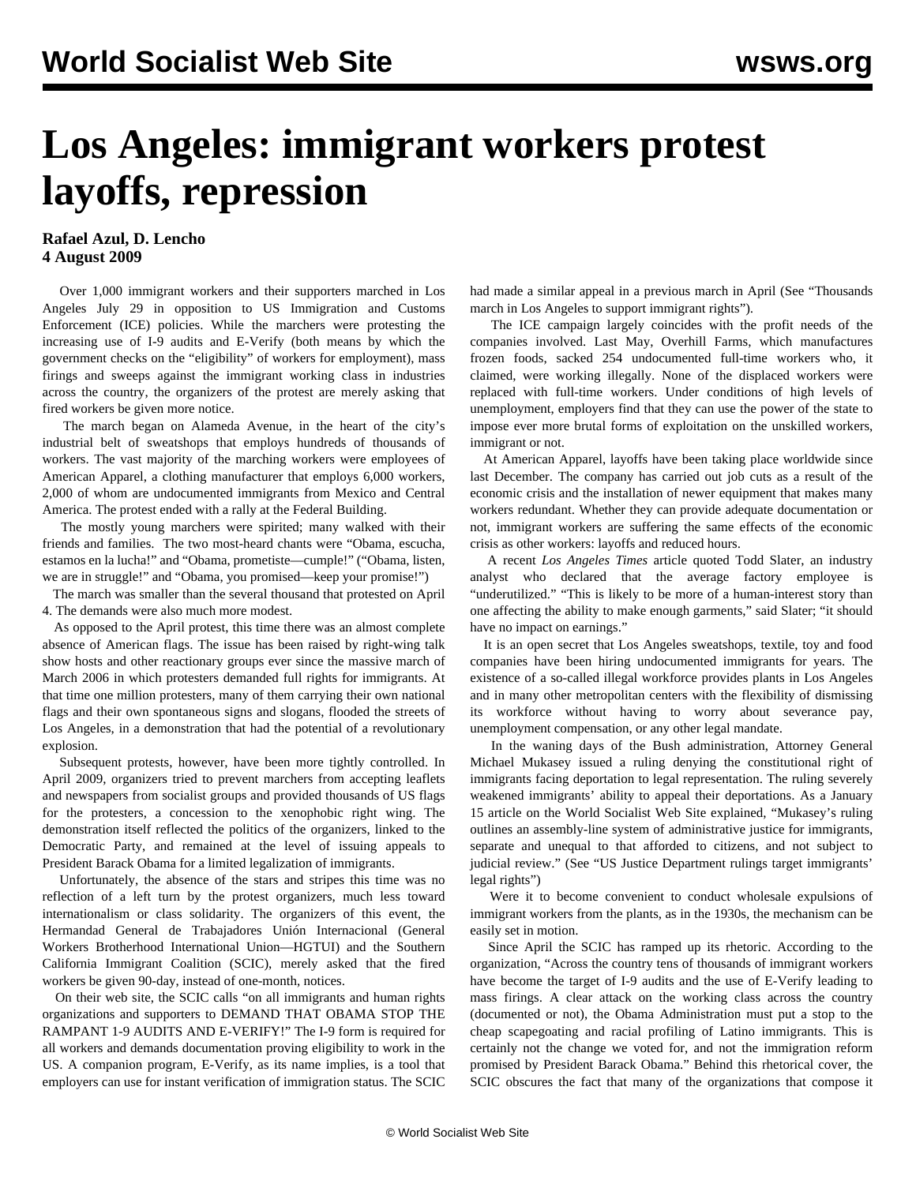## **Los Angeles: immigrant workers protest layoffs, repression**

## **Rafael Azul, D. Lencho 4 August 2009**

 Over 1,000 immigrant workers and their supporters marched in Los Angeles July 29 in opposition to US Immigration and Customs Enforcement (ICE) policies. While the marchers were protesting the increasing use of I-9 audits and E-Verify (both means by which the government checks on the "eligibility" of workers for employment), mass firings and sweeps against the immigrant working class in industries across the country, the organizers of the protest are merely asking that fired workers be given more notice.

 The march began on Alameda Avenue, in the heart of the city's industrial belt of sweatshops that employs hundreds of thousands of workers. The vast majority of the marching workers were employees of American Apparel, a clothing manufacturer that employs 6,000 workers, 2,000 of whom are undocumented immigrants from Mexico and Central America. The protest ended with a rally at the Federal Building.

 The mostly young marchers were spirited; many walked with their friends and families. The two most-heard chants were "Obama, escucha, estamos en la lucha!" and "Obama, prometiste—cumple!" ("Obama, listen, we are in struggle!" and "Obama, you promised—keep your promise!")

 The march was smaller than the several thousand that protested on April 4. The demands were also much more modest.

 As opposed to the April protest, this time there was an almost complete absence of American flags. The issue has been raised by right-wing talk show hosts and other reactionary groups ever since the massive march of March 2006 in which protesters demanded full rights for immigrants. At that time one million protesters, many of them carrying their own national flags and their own spontaneous signs and slogans, flooded the streets of Los Angeles, in a demonstration that had the potential of a revolutionary explosion.

 Subsequent protests, however, have been more tightly controlled. In April 2009, organizers tried to prevent marchers from accepting leaflets and newspapers from socialist groups and provided thousands of US flags for the protesters, a concession to the xenophobic right wing. The demonstration itself reflected the politics of the organizers, linked to the Democratic Party, and remained at the level of issuing appeals to President Barack Obama for a limited legalization of immigrants.

 Unfortunately, the absence of the stars and stripes this time was no reflection of a left turn by the protest organizers, much less toward internationalism or class solidarity. The organizers of this event, the Hermandad General de Trabajadores Unión Internacional (General Workers Brotherhood International Union—HGTUI) and the Southern California Immigrant Coalition (SCIC), merely asked that the fired workers be given 90-day, instead of one-month, notices.

 On their web site, the SCIC calls "on all immigrants and human rights organizations and supporters to DEMAND THAT OBAMA STOP THE RAMPANT 1-9 AUDITS AND E-VERIFY!" The I-9 form is required for all workers and demands documentation proving eligibility to work in the US. A companion program, E-Verify, as its name implies, is a tool that employers can use for instant verification of immigration status. The SCIC

had made a similar appeal in a previous march in April (See "Thousands march in Los Angeles to support immigrant rights").

 The ICE campaign largely coincides with the profit needs of the companies involved. Last May, Overhill Farms, which manufactures frozen foods, sacked 254 undocumented full-time workers who, it claimed, were working illegally. None of the displaced workers were replaced with full-time workers. Under conditions of high levels of unemployment, employers find that they can use the power of the state to impose ever more brutal forms of exploitation on the unskilled workers, immigrant or not.

 At American Apparel, layoffs have been taking place worldwide since last December. The company has carried out job cuts as a result of the economic crisis and the installation of newer equipment that makes many workers redundant. Whether they can provide adequate documentation or not, immigrant workers are suffering the same effects of the economic crisis as other workers: layoffs and reduced hours.

 A recent *Los Angeles Times* article quoted Todd Slater, an industry analyst who declared that the average factory employee is "underutilized." "This is likely to be more of a human-interest story than one affecting the ability to make enough garments," said Slater; "it should have no impact on earnings."

 It is an open secret that Los Angeles sweatshops, textile, toy and food companies have been hiring undocumented immigrants for years. The existence of a so-called illegal workforce provides plants in Los Angeles and in many other metropolitan centers with the flexibility of dismissing its workforce without having to worry about severance pay, unemployment compensation, or any other legal mandate.

 In the waning days of the Bush administration, Attorney General Michael Mukasey issued a ruling denying the constitutional right of immigrants facing deportation to legal representation. The ruling severely weakened immigrants' ability to appeal their deportations. As a January 15 article on the World Socialist Web Site explained, "Mukasey's ruling outlines an assembly-line system of administrative justice for immigrants, separate and unequal to that afforded to citizens, and not subject to judicial review." (See "US Justice Department rulings target immigrants' legal rights")

 Were it to become convenient to conduct wholesale expulsions of immigrant workers from the plants, as in the 1930s, the mechanism can be easily set in motion.

 Since April the SCIC has ramped up its rhetoric. According to the organization, "Across the country tens of thousands of immigrant workers have become the target of I-9 audits and the use of E-Verify leading to mass firings. A clear attack on the working class across the country (documented or not), the Obama Administration must put a stop to the cheap scapegoating and racial profiling of Latino immigrants. This is certainly not the change we voted for, and not the immigration reform promised by President Barack Obama." Behind this rhetorical cover, the SCIC obscures the fact that many of the organizations that compose it